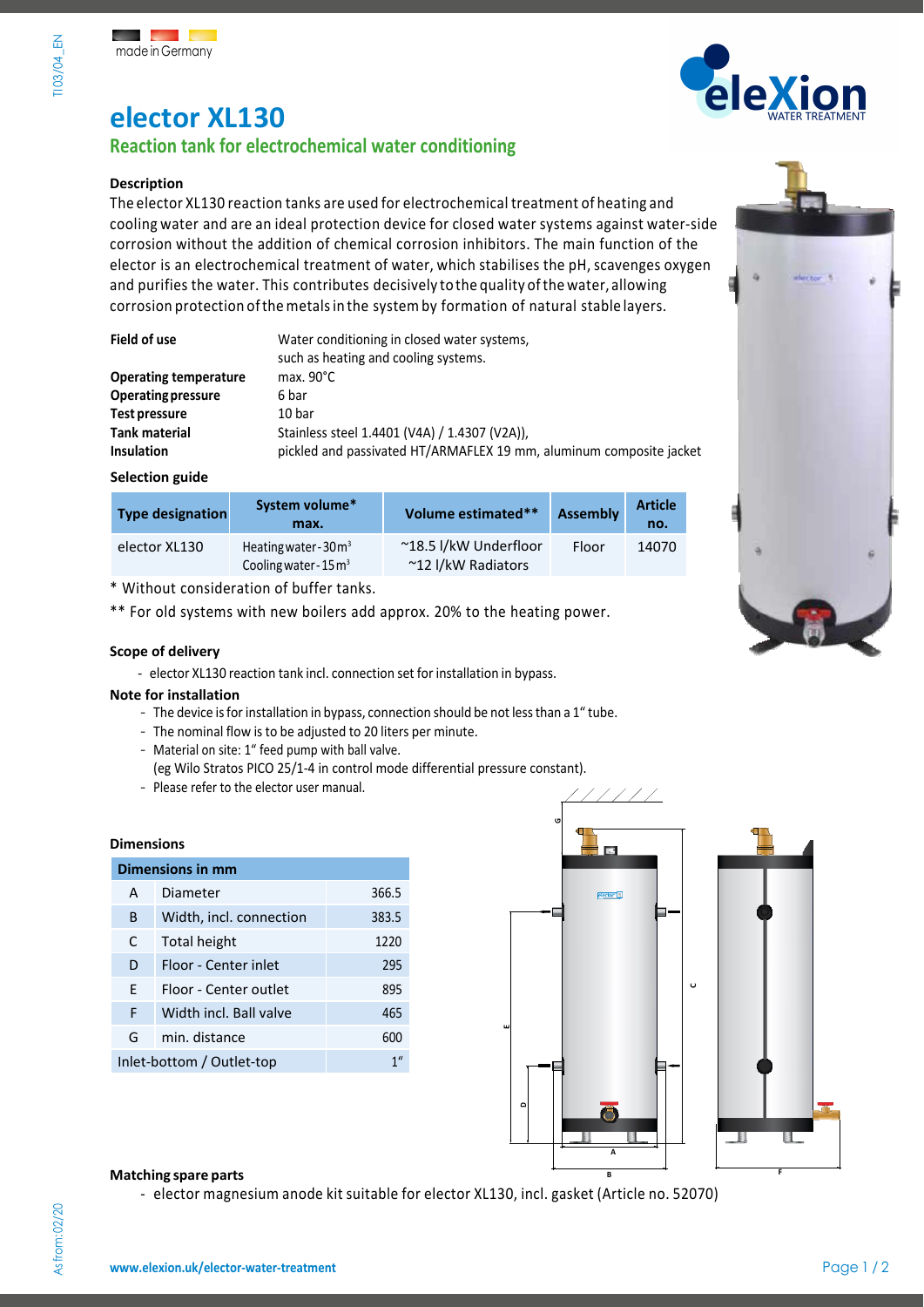# **elector XL130**

### **Reaction tank for electrochemical water conditioning**

### **Description**

The elector XL130 reaction tanks are used for electrochemical treatment of heating and cooling water and are an ideal protection device for closed water systems against water-side corrosion without the addition of chemical corrosion inhibitors. The main function of the elector is an electrochemical treatment of water, which stabilises the pH, scavenges oxygen and purifies the water. This contributes decisively tothe quality ofthe water, allowing corrosion protection ofthemetalsin the systemby formation of natural stable layers.

| Field of use                 | Water conditioning in closed water systems,<br>such as heating and cooling systems. |
|------------------------------|-------------------------------------------------------------------------------------|
| <b>Operating temperature</b> | max. $90^{\circ}$ C                                                                 |
| <b>Operating pressure</b>    | 6 bar                                                                               |
| Test pressure                | 10 bar                                                                              |
| <b>Tank material</b>         | Stainless steel 1.4401 (V4A) / 1.4307 (V2A)),                                       |
| <b>Insulation</b>            | pickled and passivated HT/ARMAFLEX 19 mm, aluminum composite jacket                 |

### **Selection guide**

| <b>Type designation</b> | System volume*<br>max.                                     | Volume estimated**                          | <b>Assembly</b> | <b>Article</b><br>no. |
|-------------------------|------------------------------------------------------------|---------------------------------------------|-----------------|-----------------------|
| elector XL130           | Heating water - $30m3$<br>Cooling water - $15 \text{ m}^3$ | ~18.5 l/kW Underfloor<br>~12 I/kW Radiators | Floor           | 14070                 |

\* Without consideration of buffer tanks.

\*\* For old systems with new boilers add approx. 20% to the heating power.

### **Scope of delivery**

- elector XL130 reaction tank incl. connection set for installation in bypass.

### **Note for installation**

- The device is for installation in bypass, connection should be not less than a 1" tube.
- The nominal flow is to be adjusted to 20 liters per minute.
- Material on site: 1" feed pump with ball valve.

(eg Wilo Stratos PICO 25/1-4 in control mode differential pressure constant).

- Please refer to the elector user manual.

### **Dimensions**

| <b>Dimensions in mm</b>   |                         |                |  |
|---------------------------|-------------------------|----------------|--|
| A                         | Diameter                | 366.5          |  |
| B                         | Width, incl. connection | 383.5          |  |
| C                         | Total height            | 1220           |  |
| D                         | Floor - Center inlet    | 295            |  |
| F                         | Floor - Center outlet   | 895            |  |
| F                         | Width incl. Ball valve  | 465            |  |
| G                         | min. distance           | 600            |  |
| Inlet-bottom / Outlet-top |                         | 1 <sup>u</sup> |  |



### **Matching spare** parts

- elector magnesium anode kit suitable for elector XL130, incl. gasket (Article no. 52070)